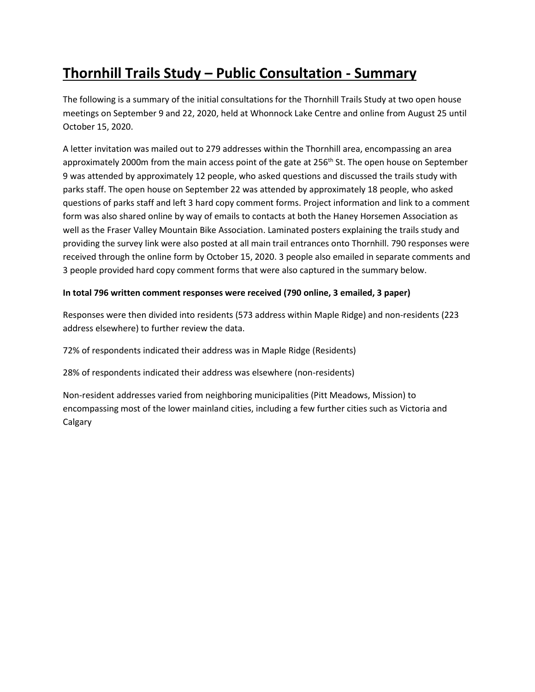# **Thornhill Trails Study – Public Consultation - Summary**

The following is a summary of the initial consultations for the Thornhill Trails Study at two open house meetings on September 9 and 22, 2020, held at Whonnock Lake Centre and online from August 25 until October 15, 2020.

A letter invitation was mailed out to 279 addresses within the Thornhill area, encompassing an area approximately 2000m from the main access point of the gate at 256<sup>th</sup> St. The open house on September 9 was attended by approximately 12 people, who asked questions and discussed the trails study with parks staff. The open house on September 22 was attended by approximately 18 people, who asked questions of parks staff and left 3 hard copy comment forms. Project information and link to a comment form was also shared online by way of emails to contacts at both the Haney Horsemen Association as well as the Fraser Valley Mountain Bike Association. Laminated posters explaining the trails study and providing the survey link were also posted at all main trail entrances onto Thornhill. 790 responses were received through the online form by October 15, 2020. 3 people also emailed in separate comments and 3 people provided hard copy comment forms that were also captured in the summary below.

#### **In total 796 written comment responses were received (790 online, 3 emailed, 3 paper)**

Responses were then divided into residents (573 address within Maple Ridge) and non-residents (223 address elsewhere) to further review the data.

72% of respondents indicated their address was in Maple Ridge (Residents)

28% of respondents indicated their address was elsewhere (non-residents)

Non-resident addresses varied from neighboring municipalities (Pitt Meadows, Mission) to encompassing most of the lower mainland cities, including a few further cities such as Victoria and Calgary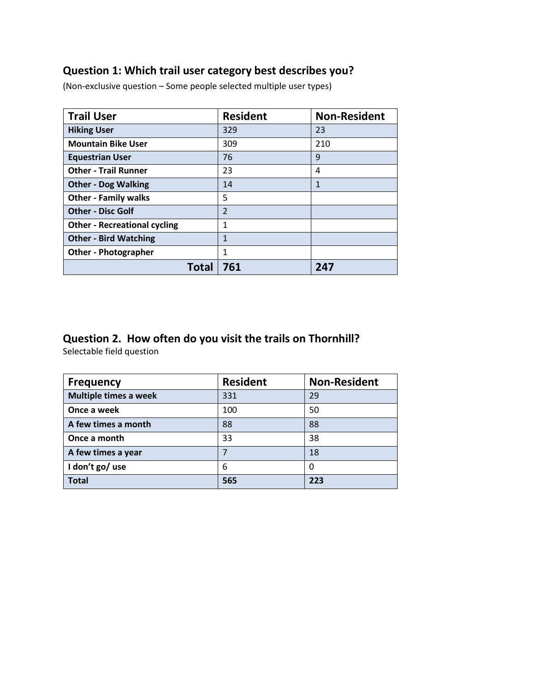#### **Question 1: Which trail user category best describes you?**

(Non-exclusive question – Some people selected multiple user types)

| <b>Trail User</b>                   | <b>Resident</b> | <b>Non-Resident</b> |
|-------------------------------------|-----------------|---------------------|
| <b>Hiking User</b>                  | 329             | 23                  |
| <b>Mountain Bike User</b>           | 309             | 210                 |
| <b>Equestrian User</b>              | 76              | 9                   |
| <b>Other - Trail Runner</b>         | 23              | 4                   |
| <b>Other - Dog Walking</b>          | 14              | $\mathbf{1}$        |
| <b>Other - Family walks</b>         | 5               |                     |
| <b>Other - Disc Golf</b>            | $\overline{2}$  |                     |
| <b>Other - Recreational cycling</b> | 1               |                     |
| <b>Other - Bird Watching</b>        | 1               |                     |
| <b>Other - Photographer</b>         | 1               |                     |
| Total                               | 761             | 247                 |

### **Question 2. How often do you visit the trails on Thornhill?**

Selectable field question

| <b>Frequency</b>             | <b>Resident</b> | <b>Non-Resident</b> |
|------------------------------|-----------------|---------------------|
| <b>Multiple times a week</b> | 331             | 29                  |
| Once a week                  | 100             | 50                  |
| A few times a month          | 88              | 88                  |
| Once a month                 | 33              | 38                  |
| A few times a year           | 7               | 18                  |
| I don't go/ use              | 6               | 0                   |
| <b>Total</b>                 | 565             | 223                 |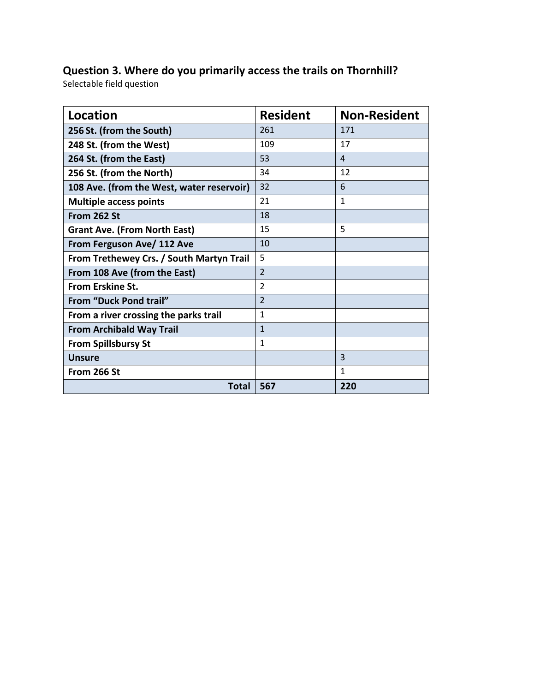## **Question 3. Where do you primarily access the trails on Thornhill?**

Selectable field question

| Location                                  | <b>Resident</b>         | <b>Non-Resident</b> |
|-------------------------------------------|-------------------------|---------------------|
| 256 St. (from the South)                  | 261                     | 171                 |
| 248 St. (from the West)                   | 109                     | 17                  |
| 264 St. (from the East)                   | 53                      | 4                   |
| 256 St. (from the North)                  | 34                      | 12                  |
| 108 Ave. (from the West, water reservoir) | 32                      | 6                   |
| <b>Multiple access points</b>             | 21                      | $\mathbf{1}$        |
| From 262 St                               | 18                      |                     |
| <b>Grant Ave. (From North East)</b>       | 15                      | 5                   |
| From Ferguson Ave/ 112 Ave                | 10                      |                     |
| From Trethewey Crs. / South Martyn Trail  | 5                       |                     |
| From 108 Ave (from the East)              | $\overline{2}$          |                     |
| From Erskine St.                          | $\overline{\mathbf{c}}$ |                     |
| From "Duck Pond trail"                    | $\overline{2}$          |                     |
| From a river crossing the parks trail     | $\mathbf{1}$            |                     |
| <b>From Archibald Way Trail</b>           | $\mathbf{1}$            |                     |
| <b>From Spillsbursy St</b>                | $\mathbf{1}$            |                     |
| <b>Unsure</b>                             |                         | 3                   |
| From 266 St                               |                         | $\mathbf{1}$        |
| Total                                     | 567                     | 220                 |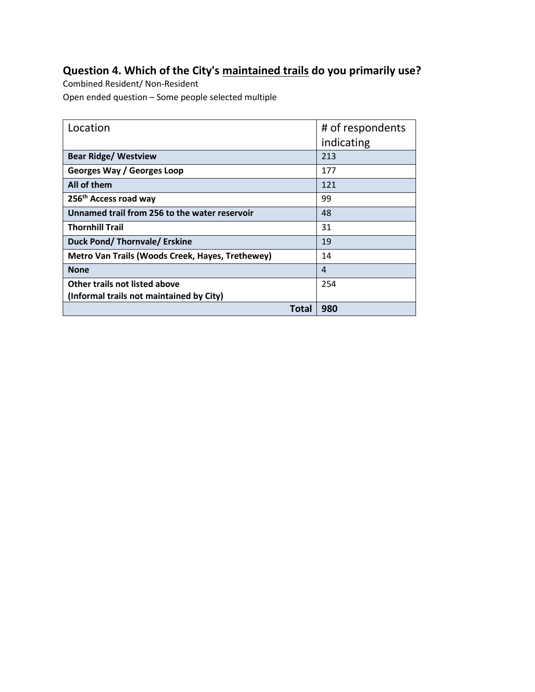## **Question 4. Which of the City's maintained trails do you primarily use?**

Combined Resident/ Non-Resident Open ended question – Some people selected multiple

| Location                                         | # of respondents |
|--------------------------------------------------|------------------|
|                                                  | indicating       |
| <b>Bear Ridge/ Westview</b>                      | 213              |
| Georges Way / Georges Loop                       | 177              |
| All of them                                      | 121              |
| 256 <sup>th</sup> Access road way                | 99               |
| Unnamed trail from 256 to the water reservoir    | 48               |
| <b>Thornhill Trail</b>                           | 31               |
| Duck Pond/Thornvale/Erskine                      | 19               |
| Metro Van Trails (Woods Creek, Hayes, Trethewey) | 14               |
| <b>None</b>                                      | 4                |
| Other trails not listed above                    | 254              |
| (Informal trails not maintained by City)         |                  |
| Total                                            | 980              |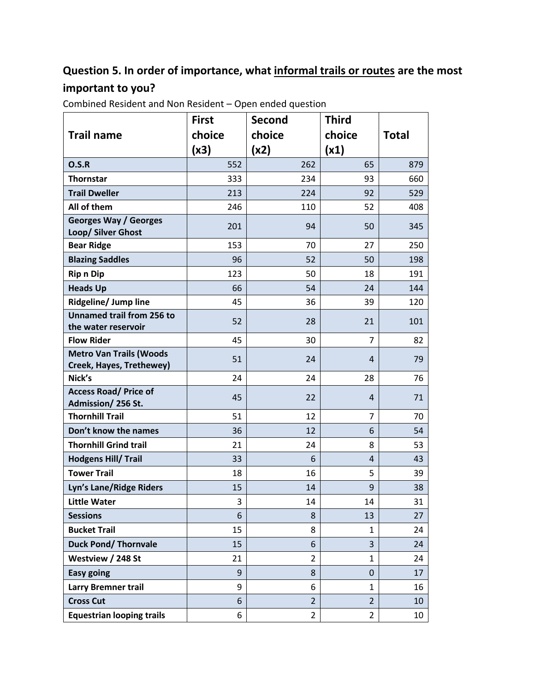## **Question 5. In order of importance, what informal trails or routes are the most important to you?**

|                                                            | <b>First</b> | <b>Second</b>  | <b>Third</b>   |              |
|------------------------------------------------------------|--------------|----------------|----------------|--------------|
| <b>Trail name</b>                                          | choice       | choice         | choice         | <b>Total</b> |
|                                                            | (x3)         | (x2)           | (x1)           |              |
| O.S.R                                                      | 552          | 262            | 65             | 879          |
| <b>Thornstar</b>                                           | 333          | 234            | 93             | 660          |
| <b>Trail Dweller</b>                                       | 213          | 224            | 92             | 529          |
| All of them                                                | 246          | 110            | 52             | 408          |
| <b>Georges Way / Georges</b><br>Loop/ Silver Ghost         | 201          | 94             | 50             | 345          |
| <b>Bear Ridge</b>                                          | 153          | 70             | 27             | 250          |
| <b>Blazing Saddles</b>                                     | 96           | 52             | 50             | 198          |
| <b>Rip n Dip</b>                                           | 123          | 50             | 18             | 191          |
| <b>Heads Up</b>                                            | 66           | 54             | 24             | 144          |
| <b>Ridgeline/ Jump line</b>                                | 45           | 36             | 39             | 120          |
| <b>Unnamed trail from 256 to</b><br>the water reservoir    | 52           | 28             | 21             | 101          |
| <b>Flow Rider</b>                                          | 45           | 30             | $\overline{7}$ | 82           |
| <b>Metro Van Trails (Woods</b><br>Creek, Hayes, Trethewey) | 51           | 24             | 4              | 79           |
| Nick's                                                     | 24           | 24             | 28             | 76           |
| <b>Access Road/ Price of</b><br>Admission/256 St.          | 45           | 22             | 4              | 71           |
| <b>Thornhill Trail</b>                                     | 51           | 12             | 7              | 70           |
| Don't know the names                                       | 36           | 12             | 6              | 54           |
| <b>Thornhill Grind trail</b>                               | 21           | 24             | 8              | 53           |
| <b>Hodgens Hill/ Trail</b>                                 | 33           | 6              | $\overline{4}$ | 43           |
| <b>Tower Trail</b>                                         | 18           | 16             | 5              | 39           |
| Lyn's Lane/Ridge Riders                                    | 15           | 14             | 9              | 38           |
| <b>Little Water</b>                                        | 3            | 14             | 14             | 31           |
| <b>Sessions</b>                                            | 6            | 8              | 13             | 27           |
| <b>Bucket Trail</b>                                        | 15           | 8              | $\mathbf{1}$   | 24           |
| <b>Duck Pond/ Thornvale</b>                                | 15           | 6              | 3              | 24           |
| Westview / 248 St                                          | 21           | $\overline{2}$ | 1              | 24           |
| <b>Easy going</b>                                          | 9            | 8              | 0              | 17           |
| <b>Larry Bremner trail</b>                                 | 9            | 6              | $\mathbf{1}$   | 16           |
| <b>Cross Cut</b>                                           | 6            | $\overline{2}$ | $\overline{2}$ | 10           |
| <b>Equestrian looping trails</b>                           | 6            | $\overline{2}$ | $\overline{2}$ | 10           |

Combined Resident and Non Resident – Open ended question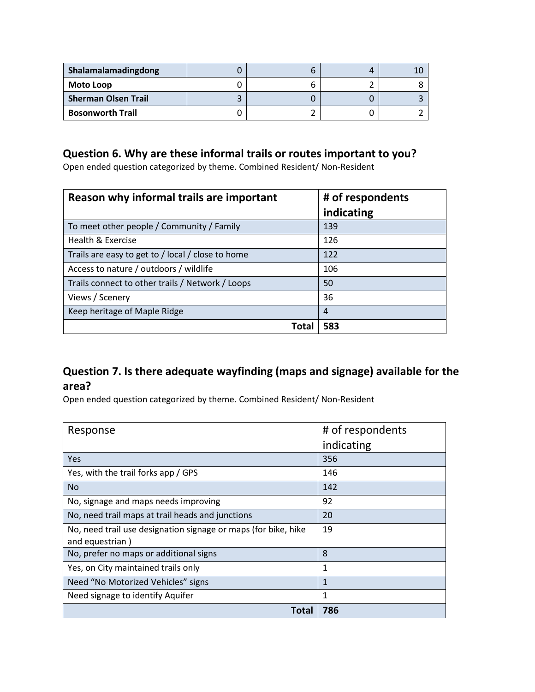| Shalamalamadingdong        |  |  |
|----------------------------|--|--|
| <b>Moto Loop</b>           |  |  |
| <b>Sherman Olsen Trail</b> |  |  |
| <b>Bosonworth Trail</b>    |  |  |

#### **Question 6. Why are these informal trails or routes important to you?**

Open ended question categorized by theme. Combined Resident/ Non-Resident

| Reason why informal trails are important          | # of respondents |
|---------------------------------------------------|------------------|
|                                                   | indicating       |
| To meet other people / Community / Family         | 139              |
| Health & Exercise                                 | 126              |
| Trails are easy to get to / local / close to home | 122              |
| Access to nature / outdoors / wildlife            | 106              |
| Trails connect to other trails / Network / Loops  | 50               |
| Views / Scenery                                   | 36               |
| Keep heritage of Maple Ridge                      | 4                |
| Tota                                              | 583              |

#### **Question 7. Is there adequate wayfinding (maps and signage) available for the area?**

Open ended question categorized by theme. Combined Resident/ Non-Resident

| Response                                                                          | # of respondents |
|-----------------------------------------------------------------------------------|------------------|
|                                                                                   | indicating       |
| Yes                                                                               | 356              |
| Yes, with the trail forks app / GPS                                               | 146              |
| <b>No</b>                                                                         | 142              |
| No, signage and maps needs improving                                              | 92               |
| No, need trail maps at trail heads and junctions                                  | 20               |
| No, need trail use designation signage or maps (for bike, hike<br>and equestrian) | 19               |
| No, prefer no maps or additional signs                                            | 8                |
| Yes, on City maintained trails only                                               | 1                |
| Need "No Motorized Vehicles" signs                                                | 1                |
| Need signage to identify Aquifer                                                  | 1                |
| Total                                                                             | 786              |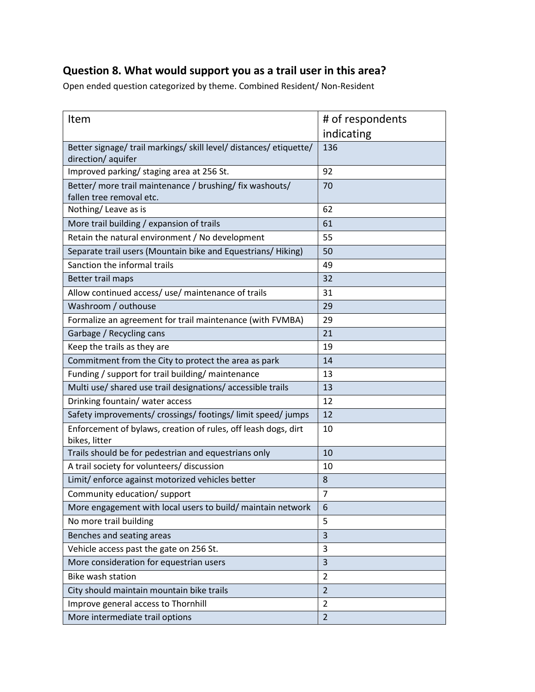### **Question 8. What would support you as a trail user in this area?**

Open ended question categorized by theme. Combined Resident/ Non-Resident

| Item                                                                                    | # of respondents |
|-----------------------------------------------------------------------------------------|------------------|
|                                                                                         | indicating       |
| Better signage/ trail markings/ skill level/ distances/ etiquette/<br>direction/aquifer | 136              |
| Improved parking/ staging area at 256 St.                                               | 92               |
| Better/ more trail maintenance / brushing/ fix washouts/<br>fallen tree removal etc.    | 70               |
| Nothing/Leave as is                                                                     | 62               |
| More trail building / expansion of trails                                               | 61               |
| Retain the natural environment / No development                                         | 55               |
| Separate trail users (Mountain bike and Equestrians/ Hiking)                            | 50               |
| Sanction the informal trails                                                            | 49               |
| Better trail maps                                                                       | 32               |
| Allow continued access/ use/ maintenance of trails                                      | 31               |
| Washroom / outhouse                                                                     | 29               |
| Formalize an agreement for trail maintenance (with FVMBA)                               | 29               |
| Garbage / Recycling cans                                                                | 21               |
| Keep the trails as they are                                                             | 19               |
| Commitment from the City to protect the area as park                                    | 14               |
| Funding / support for trail building/ maintenance                                       | 13               |
| Multi use/ shared use trail designations/ accessible trails                             | 13               |
| Drinking fountain/ water access                                                         | 12               |
| Safety improvements/ crossings/ footings/ limit speed/ jumps                            | 12               |
| Enforcement of bylaws, creation of rules, off leash dogs, dirt<br>bikes, litter         | 10               |
| Trails should be for pedestrian and equestrians only                                    | 10               |
| A trail society for volunteers/ discussion                                              | 10               |
| Limit/ enforce against motorized vehicles better                                        | 8                |
| Community education/ support                                                            | 7                |
| More engagement with local users to build/ maintain network                             | 6                |
| No more trail building                                                                  | 5                |
| Benches and seating areas                                                               | 3                |
| Vehicle access past the gate on 256 St.                                                 | 3                |
| More consideration for equestrian users                                                 | 3                |
| <b>Bike wash station</b>                                                                | $\overline{2}$   |
| City should maintain mountain bike trails                                               | $\overline{2}$   |
| Improve general access to Thornhill                                                     | $\overline{2}$   |
| More intermediate trail options                                                         | $\overline{2}$   |